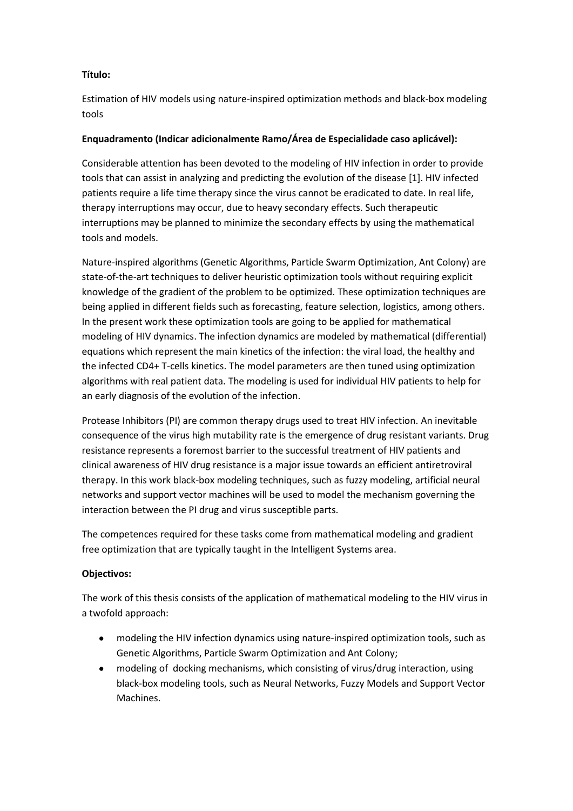## **Título:**

Estimation of HIV models using nature-inspired optimization methods and black-box modeling tools

## **Enquadramento (Indicar adicionalmente Ramo/Área de Especialidade caso aplicável):**

Considerable attention has been devoted to the modeling of HIV infection in order to provide tools that can assist in analyzing and predicting the evolution of the disease [1]. HIV infected patients require a life time therapy since the virus cannot be eradicated to date. In real life, therapy interruptions may occur, due to heavy secondary effects. Such therapeutic interruptions may be planned to minimize the secondary effects by using the mathematical tools and models.

Nature-inspired algorithms (Genetic Algorithms, Particle Swarm Optimization, Ant Colony) are state-of-the-art techniques to deliver heuristic optimization tools without requiring explicit knowledge of the gradient of the problem to be optimized. These optimization techniques are being applied in different fields such as forecasting, feature selection, logistics, among others. In the present work these optimization tools are going to be applied for mathematical modeling of HIV dynamics. The infection dynamics are modeled by mathematical (differential) equations which represent the main kinetics of the infection: the viral load, the healthy and the infected CD4+ T-cells kinetics. The model parameters are then tuned using optimization algorithms with real patient data. The modeling is used for individual HIV patients to help for an early diagnosis of the evolution of the infection.

Protease Inhibitors (PI) are common therapy drugs used to treat HIV infection. An inevitable consequence of the virus high mutability rate is the emergence of drug resistant variants. Drug resistance represents a foremost barrier to the successful treatment of HIV patients and clinical awareness of HIV drug resistance is a major issue towards an efficient antiretroviral therapy. In this work black-box modeling techniques, such as fuzzy modeling, artificial neural networks and support vector machines will be used to model the mechanism governing the interaction between the PI drug and virus susceptible parts.

The competences required for these tasks come from mathematical modeling and gradient free optimization that are typically taught in the Intelligent Systems area.

# **Objectivos:**

The work of this thesis consists of the application of mathematical modeling to the HIV virus in a twofold approach:

- modeling the HIV infection dynamics using nature-inspired optimization tools, such as Genetic Algorithms, Particle Swarm Optimization and Ant Colony;
- modeling of docking mechanisms, which consisting of virus/drug interaction, using black-box modeling tools, such as Neural Networks, Fuzzy Models and Support Vector Machines.